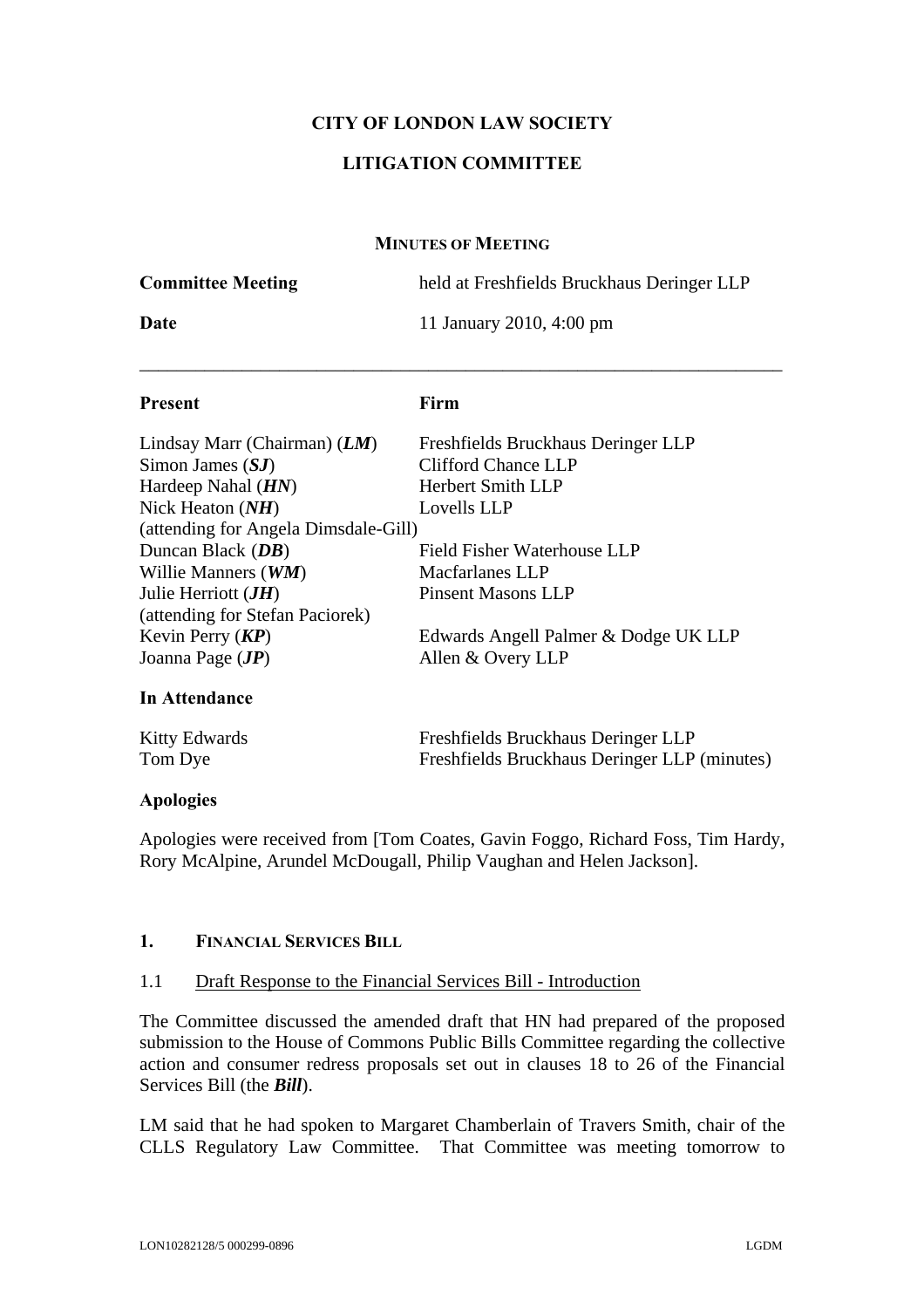## **CITY OF LONDON LAW SOCIETY**

## **LITIGATION COMMITTEE**

#### **MINUTES OF MEETING**

| <b>Present</b>           | Firm                                       |
|--------------------------|--------------------------------------------|
| Date                     | 11 January 2010, 4:00 pm                   |
| <b>Committee Meeting</b> | held at Freshfields Bruckhaus Deringer LLP |

| Lindsay Marr (Chairman) $(LM)$       | Freshfields Bruckhaus Deringer LLP   |
|--------------------------------------|--------------------------------------|
| Simon James $(SJ)$                   | <b>Clifford Chance LLP</b>           |
| Hardeep Nahal $(HN)$                 | <b>Herbert Smith LLP</b>             |
| Nick Heaton $(NH)$                   | Lovells LLP                          |
| (attending for Angela Dimsdale-Gill) |                                      |
| Duncan Black $(DB)$                  | Field Fisher Waterhouse LLP          |
| Willie Manners (WM)                  | <b>Macfarlanes LLP</b>               |
| Julie Herriott $(JH)$                | <b>Pinsent Masons LLP</b>            |
| (attending for Stefan Paciorek)      |                                      |
| Kevin Perry $(KP)$                   | Edwards Angell Palmer & Dodge UK LLP |
| Joanna Page $(JP)$                   | Allen & Overy LLP                    |
|                                      |                                      |

## **In Attendance**

| <b>Kitty Edwards</b> | Freshfields Bruckhaus Deringer LLP           |
|----------------------|----------------------------------------------|
| Tom Dye              | Freshfields Bruckhaus Deringer LLP (minutes) |

#### **Apologies**

Apologies were received from [Tom Coates, Gavin Foggo, Richard Foss, Tim Hardy, Rory McAlpine, Arundel McDougall, Philip Vaughan and Helen Jackson].

## **1. FINANCIAL SERVICES BILL**

#### 1.1 Draft Response to the Financial Services Bill - Introduction

The Committee discussed the amended draft that HN had prepared of the proposed submission to the House of Commons Public Bills Committee regarding the collective action and consumer redress proposals set out in clauses 18 to 26 of the Financial Services Bill (the *Bill*).

LM said that he had spoken to Margaret Chamberlain of Travers Smith, chair of the CLLS Regulatory Law Committee. That Committee was meeting tomorrow to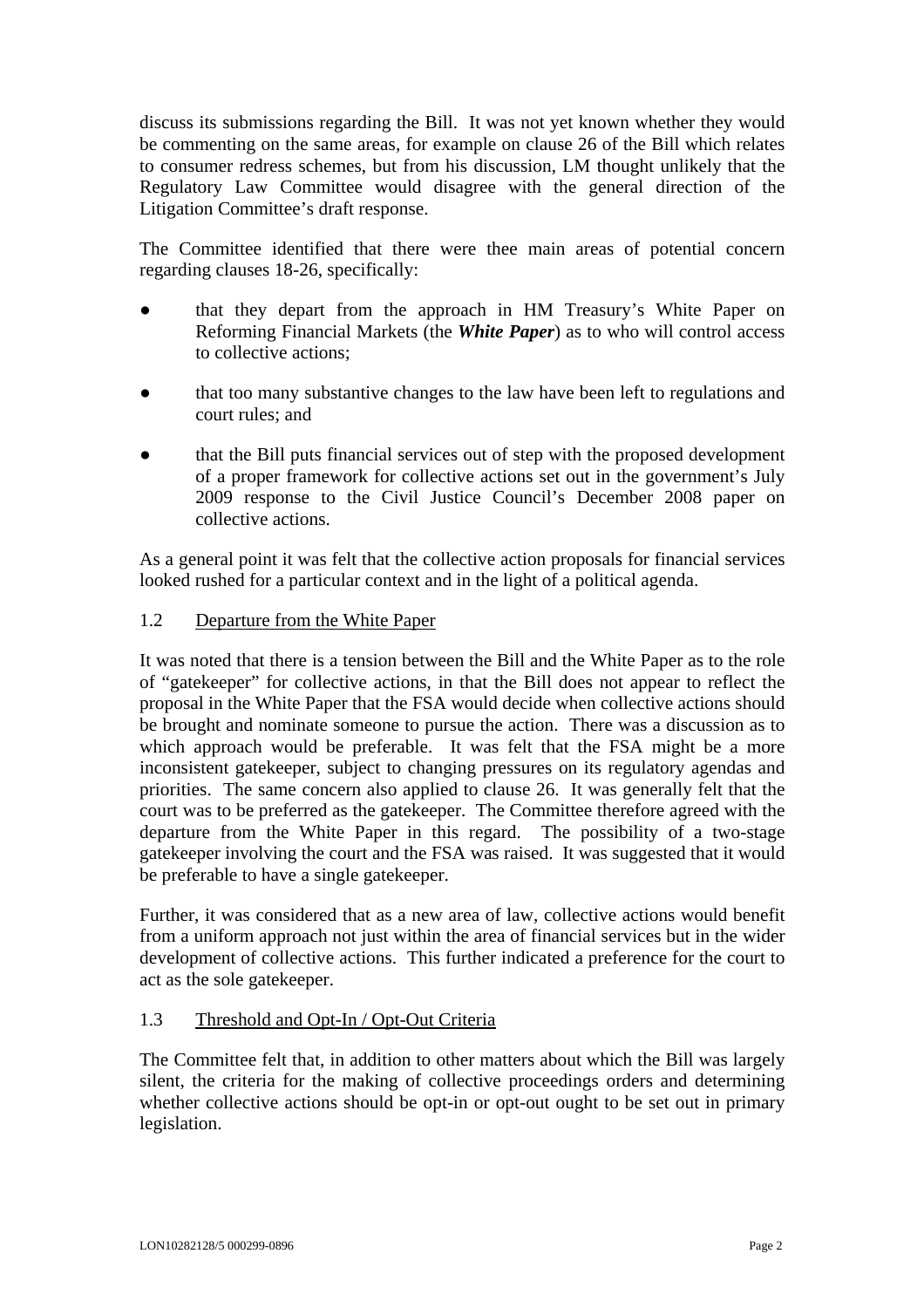discuss its submissions regarding the Bill. It was not yet known whether they would be commenting on the same areas, for example on clause 26 of the Bill which relates to consumer redress schemes, but from his discussion, LM thought unlikely that the Regulatory Law Committee would disagree with the general direction of the Litigation Committee's draft response.

The Committee identified that there were thee main areas of potential concern regarding clauses 18-26, specifically:

- that they depart from the approach in HM Treasury's White Paper on Reforming Financial Markets (the *White Paper*) as to who will control access to collective actions;
- **●** that too many substantive changes to the law have been left to regulations and court rules; and
- **●** that the Bill puts financial services out of step with the proposed development of a proper framework for collective actions set out in the government's July 2009 response to the Civil Justice Council's December 2008 paper on collective actions.

As a general point it was felt that the collective action proposals for financial services looked rushed for a particular context and in the light of a political agenda.

## 1.2 Departure from the White Paper

It was noted that there is a tension between the Bill and the White Paper as to the role of "gatekeeper" for collective actions, in that the Bill does not appear to reflect the proposal in the White Paper that the FSA would decide when collective actions should be brought and nominate someone to pursue the action. There was a discussion as to which approach would be preferable. It was felt that the FSA might be a more inconsistent gatekeeper, subject to changing pressures on its regulatory agendas and priorities. The same concern also applied to clause 26. It was generally felt that the court was to be preferred as the gatekeeper. The Committee therefore agreed with the departure from the White Paper in this regard. The possibility of a two-stage gatekeeper involving the court and the FSA was raised. It was suggested that it would be preferable to have a single gatekeeper.

Further, it was considered that as a new area of law, collective actions would benefit from a uniform approach not just within the area of financial services but in the wider development of collective actions. This further indicated a preference for the court to act as the sole gatekeeper.

# 1.3 Threshold and Opt-In / Opt-Out Criteria

The Committee felt that, in addition to other matters about which the Bill was largely silent, the criteria for the making of collective proceedings orders and determining whether collective actions should be opt-in or opt-out ought to be set out in primary legislation.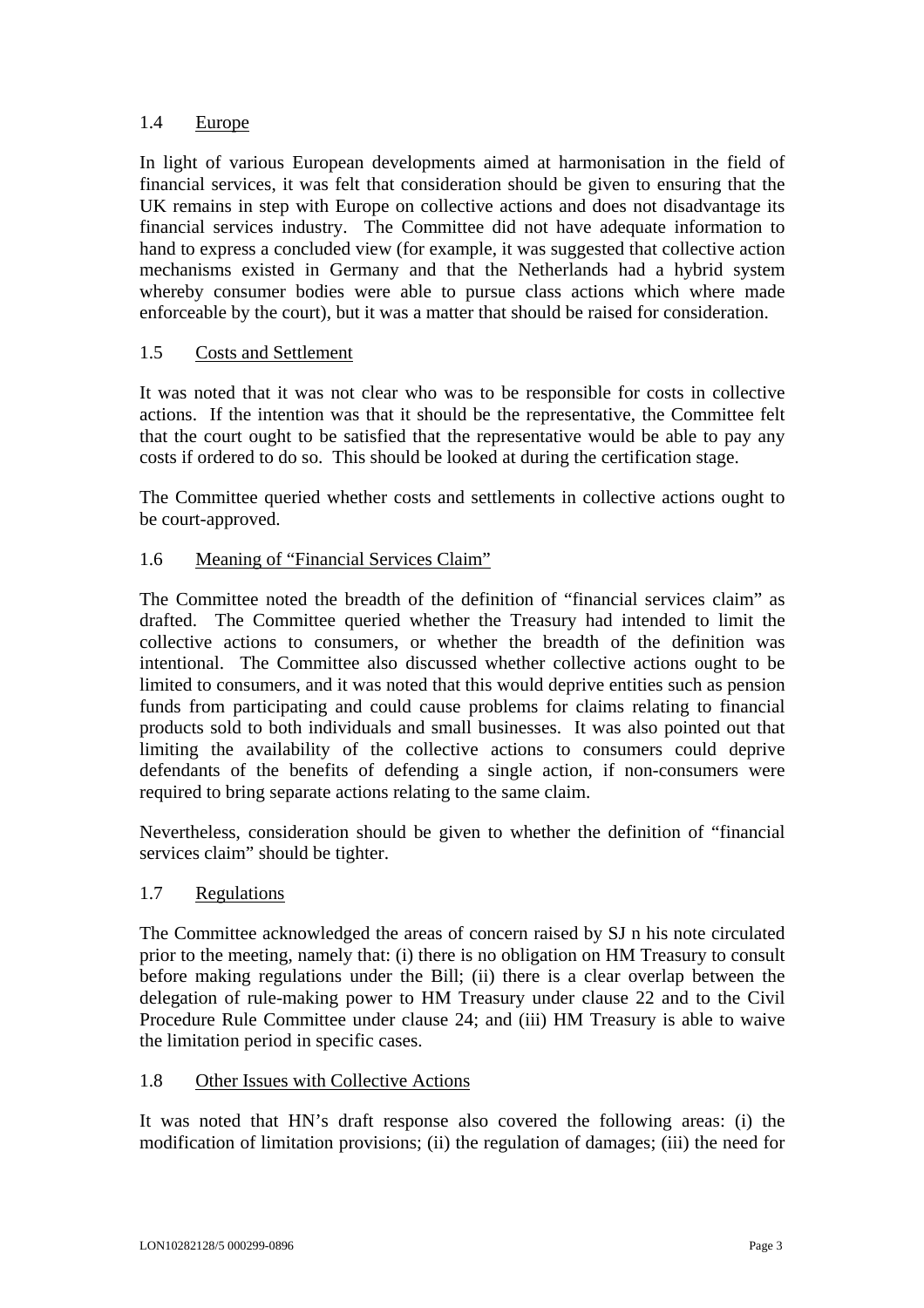# 1.4 Europe

In light of various European developments aimed at harmonisation in the field of financial services, it was felt that consideration should be given to ensuring that the UK remains in step with Europe on collective actions and does not disadvantage its financial services industry. The Committee did not have adequate information to hand to express a concluded view (for example, it was suggested that collective action mechanisms existed in Germany and that the Netherlands had a hybrid system whereby consumer bodies were able to pursue class actions which where made enforceable by the court), but it was a matter that should be raised for consideration.

## 1.5 Costs and Settlement

It was noted that it was not clear who was to be responsible for costs in collective actions. If the intention was that it should be the representative, the Committee felt that the court ought to be satisfied that the representative would be able to pay any costs if ordered to do so. This should be looked at during the certification stage.

The Committee queried whether costs and settlements in collective actions ought to be court-approved.

## 1.6 Meaning of "Financial Services Claim"

The Committee noted the breadth of the definition of "financial services claim" as drafted. The Committee queried whether the Treasury had intended to limit the collective actions to consumers, or whether the breadth of the definition was intentional. The Committee also discussed whether collective actions ought to be limited to consumers, and it was noted that this would deprive entities such as pension funds from participating and could cause problems for claims relating to financial products sold to both individuals and small businesses. It was also pointed out that limiting the availability of the collective actions to consumers could deprive defendants of the benefits of defending a single action, if non-consumers were required to bring separate actions relating to the same claim.

Nevertheless, consideration should be given to whether the definition of "financial services claim" should be tighter.

## 1.7 Regulations

The Committee acknowledged the areas of concern raised by SJ n his note circulated prior to the meeting, namely that: (i) there is no obligation on HM Treasury to consult before making regulations under the Bill; (ii) there is a clear overlap between the delegation of rule-making power to HM Treasury under clause 22 and to the Civil Procedure Rule Committee under clause 24; and (iii) HM Treasury is able to waive the limitation period in specific cases.

## 1.8 Other Issues with Collective Actions

It was noted that HN's draft response also covered the following areas: (i) the modification of limitation provisions; (ii) the regulation of damages; (iii) the need for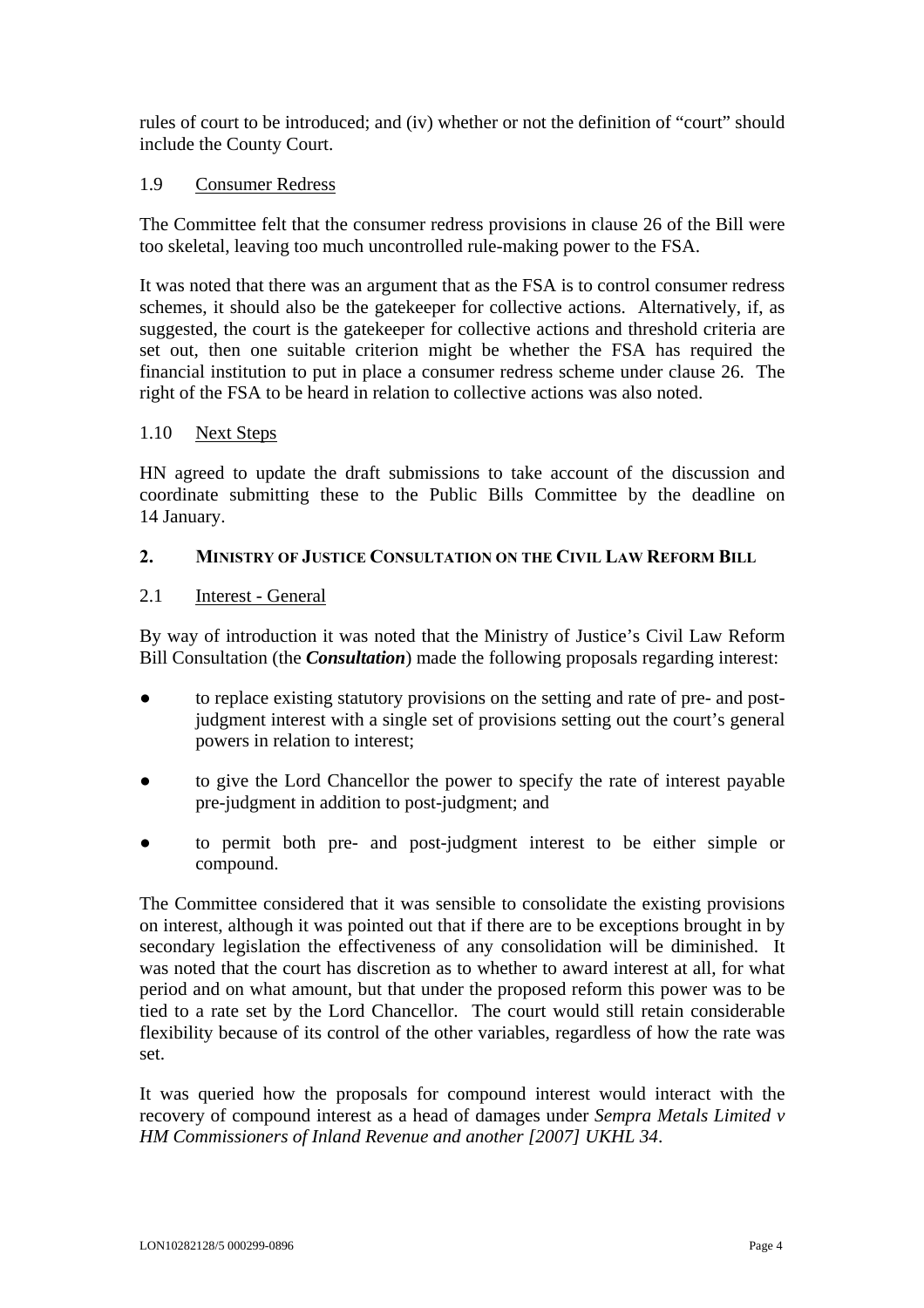rules of court to be introduced; and (iv) whether or not the definition of "court" should include the County Court.

#### 1.9 Consumer Redress

The Committee felt that the consumer redress provisions in clause 26 of the Bill were too skeletal, leaving too much uncontrolled rule-making power to the FSA.

It was noted that there was an argument that as the FSA is to control consumer redress schemes, it should also be the gatekeeper for collective actions. Alternatively, if, as suggested, the court is the gatekeeper for collective actions and threshold criteria are set out, then one suitable criterion might be whether the FSA has required the financial institution to put in place a consumer redress scheme under clause 26. The right of the FSA to be heard in relation to collective actions was also noted.

#### 1.10 Next Steps

HN agreed to update the draft submissions to take account of the discussion and coordinate submitting these to the Public Bills Committee by the deadline on 14 January.

#### **2. MINISTRY OF JUSTICE CONSULTATION ON THE CIVIL LAW REFORM BILL**

#### 2.1 Interest - General

By way of introduction it was noted that the Ministry of Justice's Civil Law Reform Bill Consultation (the *Consultation*) made the following proposals regarding interest:

- **●** to replace existing statutory provisions on the setting and rate of pre- and postjudgment interest with a single set of provisions setting out the court's general powers in relation to interest;
- **●** to give the Lord Chancellor the power to specify the rate of interest payable pre-judgment in addition to post-judgment; and
- **●** to permit both pre- and post-judgment interest to be either simple or compound.

The Committee considered that it was sensible to consolidate the existing provisions on interest, although it was pointed out that if there are to be exceptions brought in by secondary legislation the effectiveness of any consolidation will be diminished. It was noted that the court has discretion as to whether to award interest at all, for what period and on what amount, but that under the proposed reform this power was to be tied to a rate set by the Lord Chancellor. The court would still retain considerable flexibility because of its control of the other variables, regardless of how the rate was set.

It was queried how the proposals for compound interest would interact with the recovery of compound interest as a head of damages under *Sempra Metals Limited v HM Commissioners of Inland Revenue and another [2007] UKHL 34*.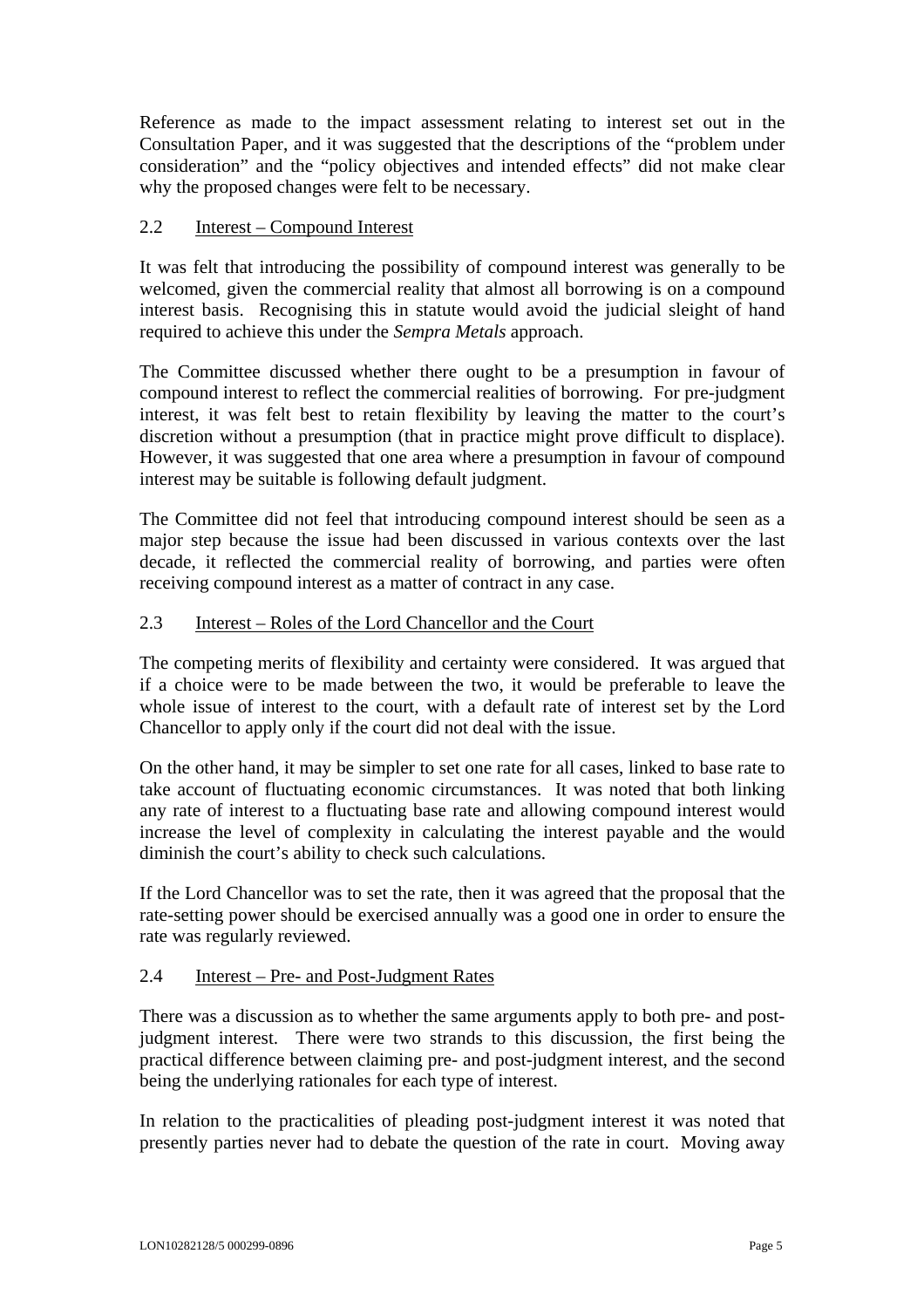Reference as made to the impact assessment relating to interest set out in the Consultation Paper, and it was suggested that the descriptions of the "problem under consideration" and the "policy objectives and intended effects" did not make clear why the proposed changes were felt to be necessary.

## 2.2 Interest – Compound Interest

It was felt that introducing the possibility of compound interest was generally to be welcomed, given the commercial reality that almost all borrowing is on a compound interest basis. Recognising this in statute would avoid the judicial sleight of hand required to achieve this under the *Sempra Metals* approach.

The Committee discussed whether there ought to be a presumption in favour of compound interest to reflect the commercial realities of borrowing. For pre-judgment interest, it was felt best to retain flexibility by leaving the matter to the court's discretion without a presumption (that in practice might prove difficult to displace). However, it was suggested that one area where a presumption in favour of compound interest may be suitable is following default judgment.

The Committee did not feel that introducing compound interest should be seen as a major step because the issue had been discussed in various contexts over the last decade, it reflected the commercial reality of borrowing, and parties were often receiving compound interest as a matter of contract in any case.

## 2.3 Interest – Roles of the Lord Chancellor and the Court

The competing merits of flexibility and certainty were considered. It was argued that if a choice were to be made between the two, it would be preferable to leave the whole issue of interest to the court, with a default rate of interest set by the Lord Chancellor to apply only if the court did not deal with the issue.

On the other hand, it may be simpler to set one rate for all cases, linked to base rate to take account of fluctuating economic circumstances. It was noted that both linking any rate of interest to a fluctuating base rate and allowing compound interest would increase the level of complexity in calculating the interest payable and the would diminish the court's ability to check such calculations.

If the Lord Chancellor was to set the rate, then it was agreed that the proposal that the rate-setting power should be exercised annually was a good one in order to ensure the rate was regularly reviewed.

## 2.4 Interest – Pre- and Post-Judgment Rates

There was a discussion as to whether the same arguments apply to both pre- and postjudgment interest. There were two strands to this discussion, the first being the practical difference between claiming pre- and post-judgment interest, and the second being the underlying rationales for each type of interest.

In relation to the practicalities of pleading post-judgment interest it was noted that presently parties never had to debate the question of the rate in court. Moving away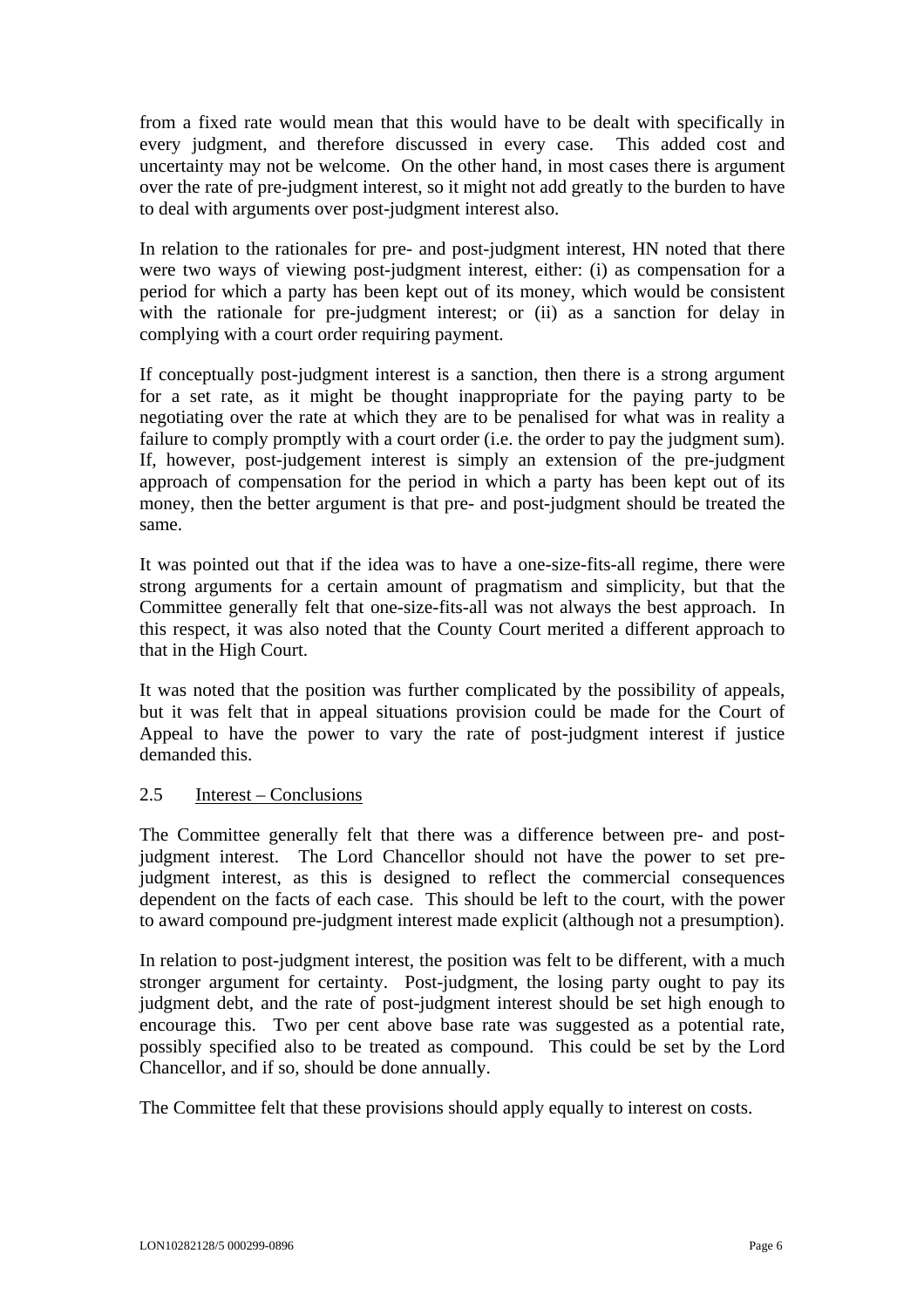from a fixed rate would mean that this would have to be dealt with specifically in every judgment, and therefore discussed in every case. This added cost and uncertainty may not be welcome. On the other hand, in most cases there is argument over the rate of pre-judgment interest, so it might not add greatly to the burden to have to deal with arguments over post-judgment interest also.

In relation to the rationales for pre- and post-judgment interest, HN noted that there were two ways of viewing post-judgment interest, either: (i) as compensation for a period for which a party has been kept out of its money, which would be consistent with the rationale for pre-judgment interest; or (ii) as a sanction for delay in complying with a court order requiring payment.

If conceptually post-judgment interest is a sanction, then there is a strong argument for a set rate, as it might be thought inappropriate for the paying party to be negotiating over the rate at which they are to be penalised for what was in reality a failure to comply promptly with a court order (i.e. the order to pay the judgment sum). If, however, post-judgement interest is simply an extension of the pre-judgment approach of compensation for the period in which a party has been kept out of its money, then the better argument is that pre- and post-judgment should be treated the same.

It was pointed out that if the idea was to have a one-size-fits-all regime, there were strong arguments for a certain amount of pragmatism and simplicity, but that the Committee generally felt that one-size-fits-all was not always the best approach. In this respect, it was also noted that the County Court merited a different approach to that in the High Court.

It was noted that the position was further complicated by the possibility of appeals, but it was felt that in appeal situations provision could be made for the Court of Appeal to have the power to vary the rate of post-judgment interest if justice demanded this.

## 2.5 Interest – Conclusions

The Committee generally felt that there was a difference between pre- and postjudgment interest. The Lord Chancellor should not have the power to set prejudgment interest, as this is designed to reflect the commercial consequences dependent on the facts of each case. This should be left to the court, with the power to award compound pre-judgment interest made explicit (although not a presumption).

In relation to post-judgment interest, the position was felt to be different, with a much stronger argument for certainty. Post-judgment, the losing party ought to pay its judgment debt, and the rate of post-judgment interest should be set high enough to encourage this. Two per cent above base rate was suggested as a potential rate, possibly specified also to be treated as compound. This could be set by the Lord Chancellor, and if so, should be done annually.

The Committee felt that these provisions should apply equally to interest on costs.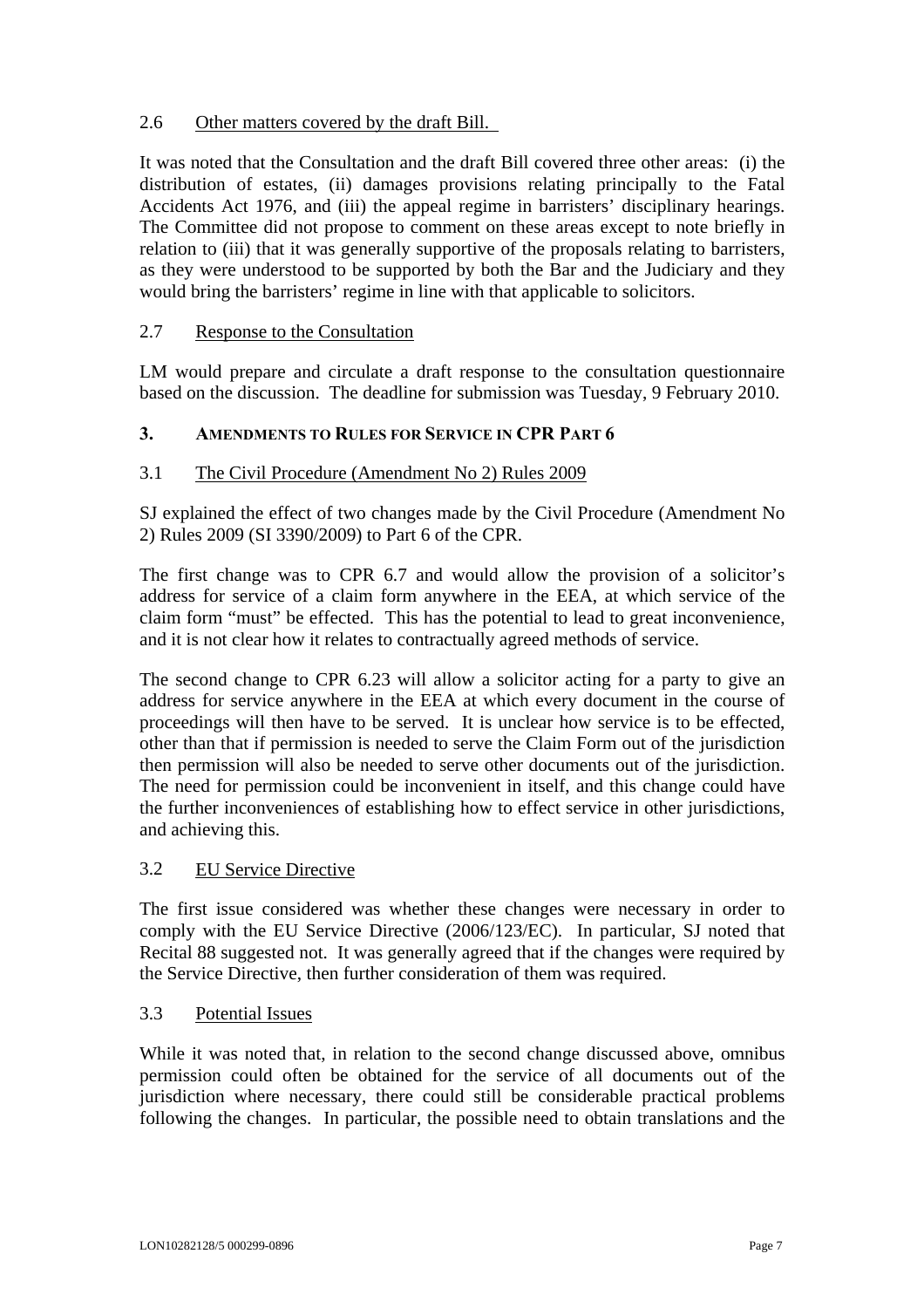# 2.6 Other matters covered by the draft Bill.

It was noted that the Consultation and the draft Bill covered three other areas: (i) the distribution of estates, (ii) damages provisions relating principally to the Fatal Accidents Act 1976, and (iii) the appeal regime in barristers' disciplinary hearings. The Committee did not propose to comment on these areas except to note briefly in relation to (iii) that it was generally supportive of the proposals relating to barristers, as they were understood to be supported by both the Bar and the Judiciary and they would bring the barristers' regime in line with that applicable to solicitors.

## 2.7 Response to the Consultation

LM would prepare and circulate a draft response to the consultation questionnaire based on the discussion. The deadline for submission was Tuesday, 9 February 2010.

## **3. AMENDMENTS TO RULES FOR SERVICE IN CPR PART 6**

## 3.1 The Civil Procedure (Amendment No 2) Rules 2009

SJ explained the effect of two changes made by the Civil Procedure (Amendment No 2) Rules 2009 (SI 3390/2009) to Part 6 of the CPR.

The first change was to CPR 6.7 and would allow the provision of a solicitor's address for service of a claim form anywhere in the EEA, at which service of the claim form "must" be effected. This has the potential to lead to great inconvenience, and it is not clear how it relates to contractually agreed methods of service.

The second change to CPR 6.23 will allow a solicitor acting for a party to give an address for service anywhere in the EEA at which every document in the course of proceedings will then have to be served. It is unclear how service is to be effected, other than that if permission is needed to serve the Claim Form out of the jurisdiction then permission will also be needed to serve other documents out of the jurisdiction. The need for permission could be inconvenient in itself, and this change could have the further inconveniences of establishing how to effect service in other jurisdictions, and achieving this.

## 3.2 EU Service Directive

The first issue considered was whether these changes were necessary in order to comply with the EU Service Directive (2006/123/EC). In particular, SJ noted that Recital 88 suggested not. It was generally agreed that if the changes were required by the Service Directive, then further consideration of them was required.

## 3.3 Potential Issues

While it was noted that, in relation to the second change discussed above, omnibus permission could often be obtained for the service of all documents out of the jurisdiction where necessary, there could still be considerable practical problems following the changes. In particular, the possible need to obtain translations and the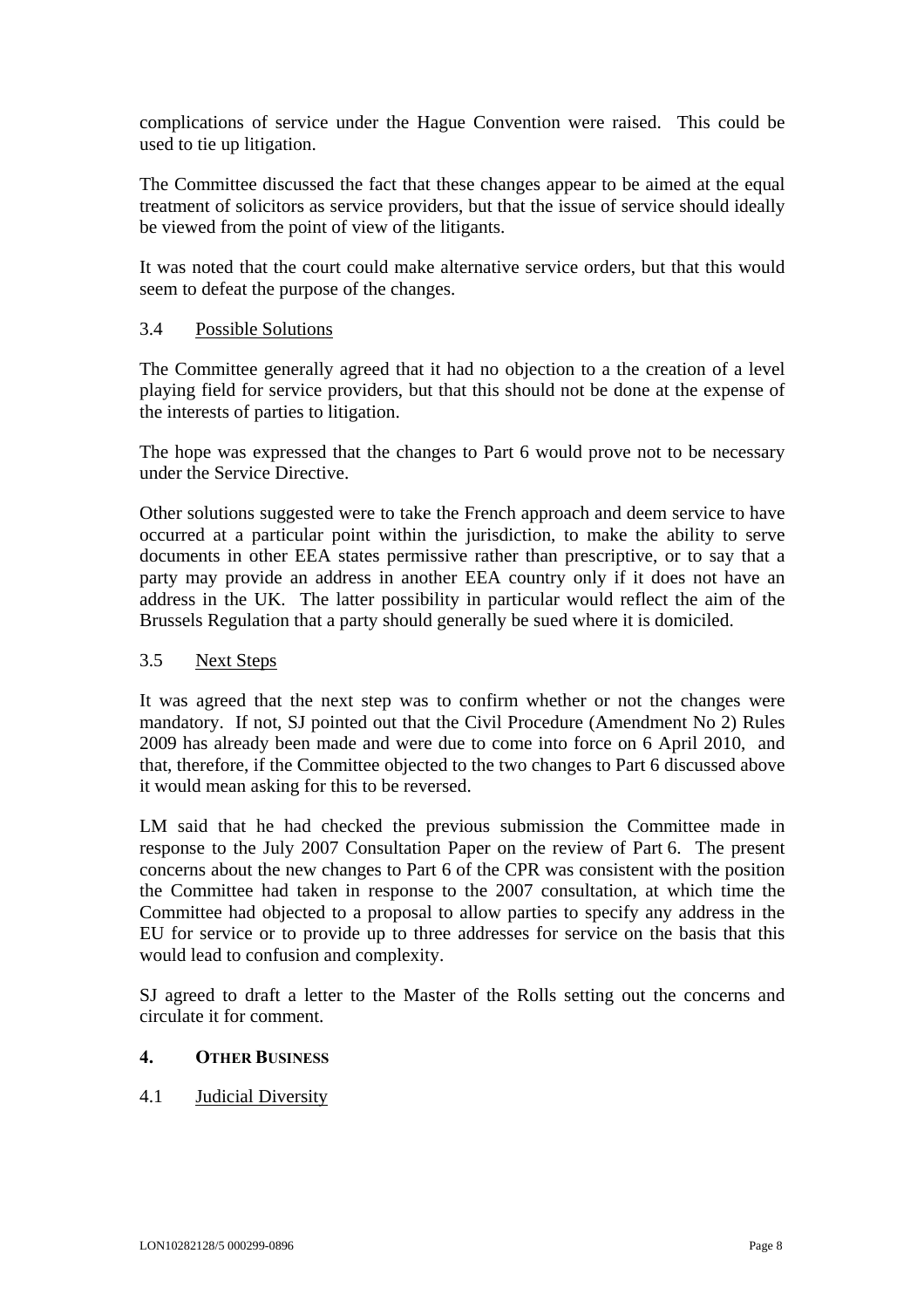complications of service under the Hague Convention were raised. This could be used to tie up litigation.

The Committee discussed the fact that these changes appear to be aimed at the equal treatment of solicitors as service providers, but that the issue of service should ideally be viewed from the point of view of the litigants.

It was noted that the court could make alternative service orders, but that this would seem to defeat the purpose of the changes.

## 3.4 Possible Solutions

The Committee generally agreed that it had no objection to a the creation of a level playing field for service providers, but that this should not be done at the expense of the interests of parties to litigation.

The hope was expressed that the changes to Part 6 would prove not to be necessary under the Service Directive.

Other solutions suggested were to take the French approach and deem service to have occurred at a particular point within the jurisdiction, to make the ability to serve documents in other EEA states permissive rather than prescriptive, or to say that a party may provide an address in another EEA country only if it does not have an address in the UK. The latter possibility in particular would reflect the aim of the Brussels Regulation that a party should generally be sued where it is domiciled.

## 3.5 Next Steps

It was agreed that the next step was to confirm whether or not the changes were mandatory. If not, SJ pointed out that the Civil Procedure (Amendment No 2) Rules 2009 has already been made and were due to come into force on 6 April 2010, and that, therefore, if the Committee objected to the two changes to Part 6 discussed above it would mean asking for this to be reversed.

LM said that he had checked the previous submission the Committee made in response to the July 2007 Consultation Paper on the review of Part 6. The present concerns about the new changes to Part 6 of the CPR was consistent with the position the Committee had taken in response to the 2007 consultation, at which time the Committee had objected to a proposal to allow parties to specify any address in the EU for service or to provide up to three addresses for service on the basis that this would lead to confusion and complexity.

SJ agreed to draft a letter to the Master of the Rolls setting out the concerns and circulate it for comment.

## **4. OTHER BUSINESS**

## 4.1 Judicial Diversity